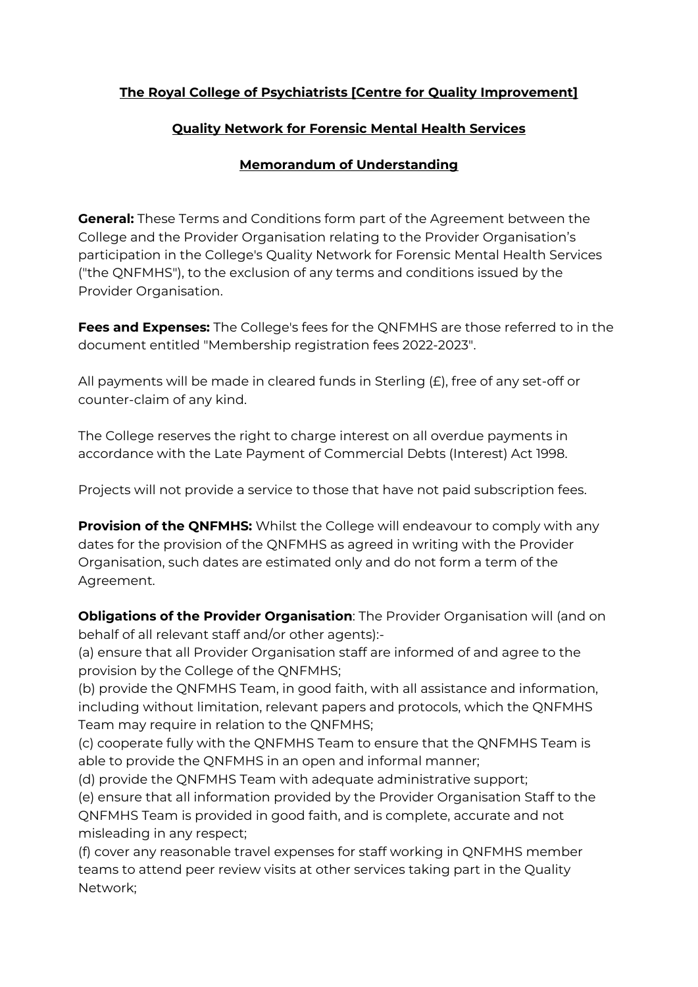## **The Royal College of Psychiatrists [Centre for Quality Improvement]**

## **Quality Network for Forensic Mental Health Services**

## **Memorandum of Understanding**

**General:** These Terms and Conditions form part of the Agreement between the College and the Provider Organisation relating to the Provider Organisation's participation in the College's Quality Network for Forensic Mental Health Services ("the QNFMHS"), to the exclusion of any terms and conditions issued by the Provider Organisation.

**Fees and Expenses:** The College's fees for the QNFMHS are those referred to in the document entitled "Membership registration fees 2022-2023".

All payments will be made in cleared funds in Sterling (£), free of any set-off or counter-claim of any kind.

The College reserves the right to charge interest on all overdue payments in accordance with the Late Payment of Commercial Debts (Interest) Act 1998.

Projects will not provide a service to those that have not paid subscription fees.

**Provision of the QNFMHS:** Whilst the College will endeavour to comply with any dates for the provision of the QNFMHS as agreed in writing with the Provider Organisation, such dates are estimated only and do not form a term of the Agreement.

**Obligations of the Provider Organisation**: The Provider Organisation will (and on behalf of all relevant staff and/or other agents):-

(a) ensure that all Provider Organisation staff are informed of and agree to the provision by the College of the QNFMHS;

(b) provide the QNFMHS Team, in good faith, with all assistance and information, including without limitation, relevant papers and protocols, which the QNFMHS Team may require in relation to the QNFMHS;

(c) cooperate fully with the QNFMHS Team to ensure that the QNFMHS Team is able to provide the QNFMHS in an open and informal manner;

(d) provide the QNFMHS Team with adequate administrative support;

(e) ensure that all information provided by the Provider Organisation Staff to the QNFMHS Team is provided in good faith, and is complete, accurate and not misleading in any respect;

(f) cover any reasonable travel expenses for staff working in QNFMHS member teams to attend peer review visits at other services taking part in the Quality Network;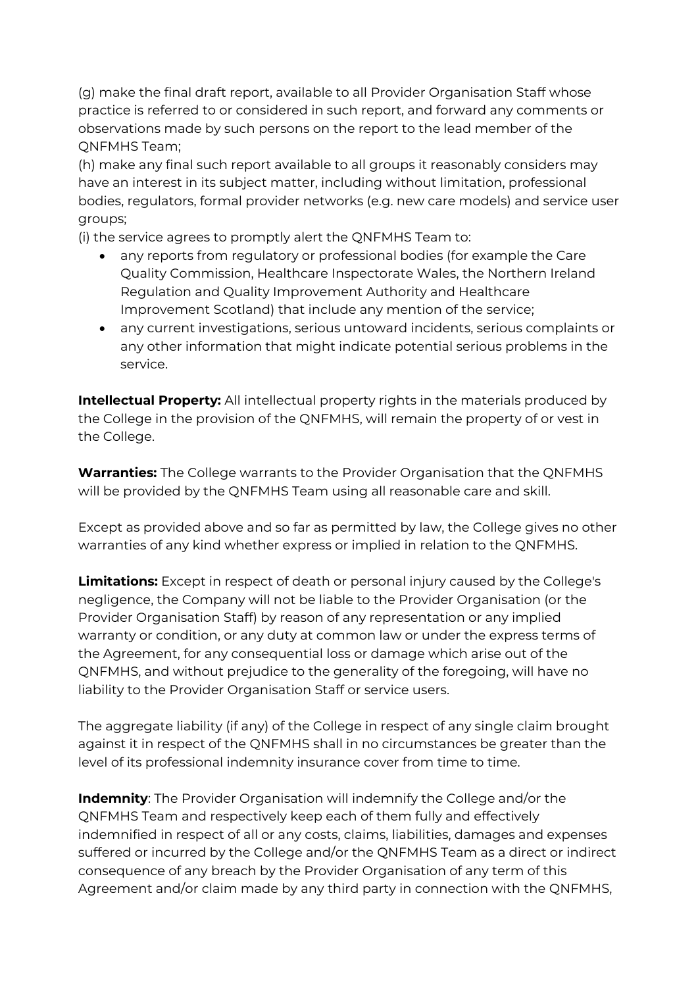(g) make the final draft report, available to all Provider Organisation Staff whose practice is referred to or considered in such report, and forward any comments or observations made by such persons on the report to the lead member of the QNFMHS Team;

(h) make any final such report available to all groups it reasonably considers may have an interest in its subject matter, including without limitation, professional bodies, regulators, formal provider networks (e.g. new care models) and service user groups;

(i) the service agrees to promptly alert the QNFMHS Team to:

- any reports from regulatory or professional bodies (for example the Care Quality Commission, Healthcare Inspectorate Wales, the Northern Ireland Regulation and Quality Improvement Authority and Healthcare Improvement Scotland) that include any mention of the service;
- any current investigations, serious untoward incidents, serious complaints or any other information that might indicate potential serious problems in the service.

**Intellectual Property:** All intellectual property rights in the materials produced by the College in the provision of the QNFMHS, will remain the property of or vest in the College.

**Warranties:** The College warrants to the Provider Organisation that the QNFMHS will be provided by the QNFMHS Team using all reasonable care and skill.

Except as provided above and so far as permitted by law, the College gives no other warranties of any kind whether express or implied in relation to the QNFMHS.

**Limitations:** Except in respect of death or personal injury caused by the College's negligence, the Company will not be liable to the Provider Organisation (or the Provider Organisation Staff) by reason of any representation or any implied warranty or condition, or any duty at common law or under the express terms of the Agreement, for any consequential loss or damage which arise out of the QNFMHS, and without prejudice to the generality of the foregoing, will have no liability to the Provider Organisation Staff or service users.

The aggregate liability (if any) of the College in respect of any single claim brought against it in respect of the QNFMHS shall in no circumstances be greater than the level of its professional indemnity insurance cover from time to time.

**Indemnity**: The Provider Organisation will indemnify the College and/or the QNFMHS Team and respectively keep each of them fully and effectively indemnified in respect of all or any costs, claims, liabilities, damages and expenses suffered or incurred by the College and/or the QNFMHS Team as a direct or indirect consequence of any breach by the Provider Organisation of any term of this Agreement and/or claim made by any third party in connection with the QNFMHS,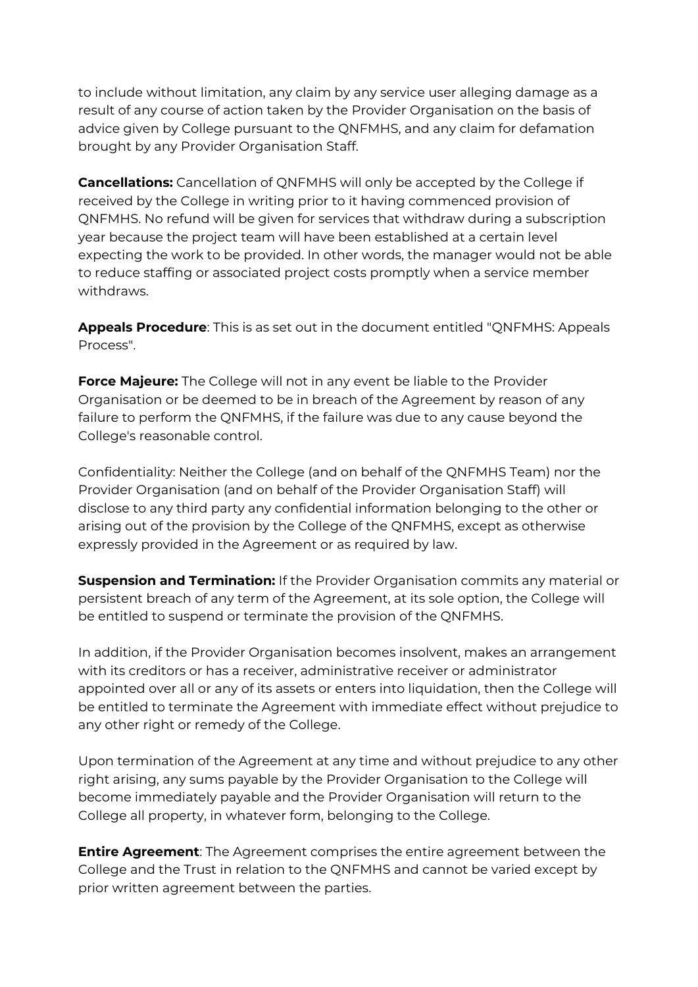to include without limitation, any claim by any service user alleging damage as a result of any course of action taken by the Provider Organisation on the basis of advice given by College pursuant to the QNFMHS, and any claim for defamation brought by any Provider Organisation Staff.

**Cancellations:** Cancellation of QNFMHS will only be accepted by the College if received by the College in writing prior to it having commenced provision of QNFMHS. No refund will be given for services that withdraw during a subscription year because the project team will have been established at a certain level expecting the work to be provided. In other words, the manager would not be able to reduce staffing or associated project costs promptly when a service member withdraws.

**Appeals Procedure**: This is as set out in the document entitled "QNFMHS: Appeals Process".

**Force Majeure:** The College will not in any event be liable to the Provider Organisation or be deemed to be in breach of the Agreement by reason of any failure to perform the QNFMHS, if the failure was due to any cause beyond the College's reasonable control.

Confidentiality: Neither the College (and on behalf of the QNFMHS Team) nor the Provider Organisation (and on behalf of the Provider Organisation Staff) will disclose to any third party any confidential information belonging to the other or arising out of the provision by the College of the QNFMHS, except as otherwise expressly provided in the Agreement or as required by law.

**Suspension and Termination:** If the Provider Organisation commits any material or persistent breach of any term of the Agreement, at its sole option, the College will be entitled to suspend or terminate the provision of the QNFMHS.

In addition, if the Provider Organisation becomes insolvent, makes an arrangement with its creditors or has a receiver, administrative receiver or administrator appointed over all or any of its assets or enters into liquidation, then the College will be entitled to terminate the Agreement with immediate effect without prejudice to any other right or remedy of the College.

Upon termination of the Agreement at any time and without prejudice to any other right arising, any sums payable by the Provider Organisation to the College will become immediately payable and the Provider Organisation will return to the College all property, in whatever form, belonging to the College.

**Entire Agreement**: The Agreement comprises the entire agreement between the College and the Trust in relation to the QNFMHS and cannot be varied except by prior written agreement between the parties.